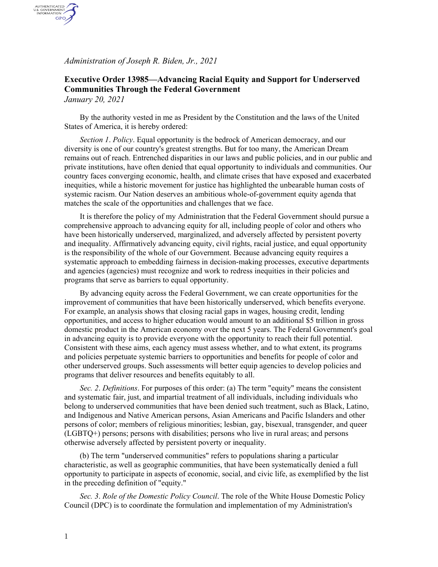*Administration of Joseph R. Biden, Jr., 2021*

AUTHENTICATED<br>U.S. GOVERNMENT<br>INFORMATION GPO

## **Executive Order 13985—Advancing Racial Equity and Support for Underserved Communities Through the Federal Government** *January 20, 2021*

By the authority vested in me as President by the Constitution and the laws of the United States of America, it is hereby ordered:

*Section 1*. *Policy*. Equal opportunity is the bedrock of American democracy, and our diversity is one of our country's greatest strengths. But for too many, the American Dream remains out of reach. Entrenched disparities in our laws and public policies, and in our public and private institutions, have often denied that equal opportunity to individuals and communities. Our country faces converging economic, health, and climate crises that have exposed and exacerbated inequities, while a historic movement for justice has highlighted the unbearable human costs of systemic racism. Our Nation deserves an ambitious whole-of-government equity agenda that matches the scale of the opportunities and challenges that we face.

It is therefore the policy of my Administration that the Federal Government should pursue a comprehensive approach to advancing equity for all, including people of color and others who have been historically underserved, marginalized, and adversely affected by persistent poverty and inequality. Affirmatively advancing equity, civil rights, racial justice, and equal opportunity is the responsibility of the whole of our Government. Because advancing equity requires a systematic approach to embedding fairness in decision-making processes, executive departments and agencies (agencies) must recognize and work to redress inequities in their policies and programs that serve as barriers to equal opportunity.

By advancing equity across the Federal Government, we can create opportunities for the improvement of communities that have been historically underserved, which benefits everyone. For example, an analysis shows that closing racial gaps in wages, housing credit, lending opportunities, and access to higher education would amount to an additional \$5 trillion in gross domestic product in the American economy over the next 5 years. The Federal Government's goal in advancing equity is to provide everyone with the opportunity to reach their full potential. Consistent with these aims, each agency must assess whether, and to what extent, its programs and policies perpetuate systemic barriers to opportunities and benefits for people of color and other underserved groups. Such assessments will better equip agencies to develop policies and programs that deliver resources and benefits equitably to all.

*Sec. 2*. *Definitions*. For purposes of this order: (a) The term "equity" means the consistent and systematic fair, just, and impartial treatment of all individuals, including individuals who belong to underserved communities that have been denied such treatment, such as Black, Latino, and Indigenous and Native American persons, Asian Americans and Pacific Islanders and other persons of color; members of religious minorities; lesbian, gay, bisexual, transgender, and queer (LGBTQ+) persons; persons with disabilities; persons who live in rural areas; and persons otherwise adversely affected by persistent poverty or inequality.

(b) The term "underserved communities" refers to populations sharing a particular characteristic, as well as geographic communities, that have been systematically denied a full opportunity to participate in aspects of economic, social, and civic life, as exemplified by the list in the preceding definition of "equity."

*Sec. 3*. *Role of the Domestic Policy Council*. The role of the White House Domestic Policy Council (DPC) is to coordinate the formulation and implementation of my Administration's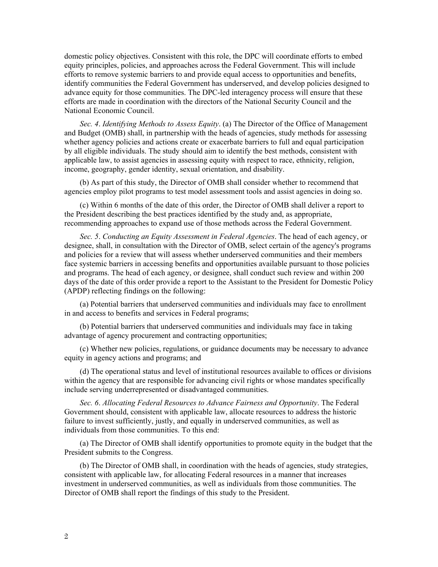domestic policy objectives. Consistent with this role, the DPC will coordinate efforts to embed equity principles, policies, and approaches across the Federal Government. This will include efforts to remove systemic barriers to and provide equal access to opportunities and benefits, identify communities the Federal Government has underserved, and develop policies designed to advance equity for those communities. The DPC-led interagency process will ensure that these efforts are made in coordination with the directors of the National Security Council and the National Economic Council.

*Sec. 4*. *Identifying Methods to Assess Equity*. (a) The Director of the Office of Management and Budget (OMB) shall, in partnership with the heads of agencies, study methods for assessing whether agency policies and actions create or exacerbate barriers to full and equal participation by all eligible individuals. The study should aim to identify the best methods, consistent with applicable law, to assist agencies in assessing equity with respect to race, ethnicity, religion, income, geography, gender identity, sexual orientation, and disability.

(b) As part of this study, the Director of OMB shall consider whether to recommend that agencies employ pilot programs to test model assessment tools and assist agencies in doing so.

(c) Within 6 months of the date of this order, the Director of OMB shall deliver a report to the President describing the best practices identified by the study and, as appropriate, recommending approaches to expand use of those methods across the Federal Government.

*Sec. 5*. *Conducting an Equity Assessment in Federal Agencies*. The head of each agency, or designee, shall, in consultation with the Director of OMB, select certain of the agency's programs and policies for a review that will assess whether underserved communities and their members face systemic barriers in accessing benefits and opportunities available pursuant to those policies and programs. The head of each agency, or designee, shall conduct such review and within 200 days of the date of this order provide a report to the Assistant to the President for Domestic Policy (APDP) reflecting findings on the following:

(a) Potential barriers that underserved communities and individuals may face to enrollment in and access to benefits and services in Federal programs;

(b) Potential barriers that underserved communities and individuals may face in taking advantage of agency procurement and contracting opportunities;

(c) Whether new policies, regulations, or guidance documents may be necessary to advance equity in agency actions and programs; and

(d) The operational status and level of institutional resources available to offices or divisions within the agency that are responsible for advancing civil rights or whose mandates specifically include serving underrepresented or disadvantaged communities.

*Sec. 6*. *Allocating Federal Resources to Advance Fairness and Opportunity*. The Federal Government should, consistent with applicable law, allocate resources to address the historic failure to invest sufficiently, justly, and equally in underserved communities, as well as individuals from those communities. To this end:

(a) The Director of OMB shall identify opportunities to promote equity in the budget that the President submits to the Congress.

(b) The Director of OMB shall, in coordination with the heads of agencies, study strategies, consistent with applicable law, for allocating Federal resources in a manner that increases investment in underserved communities, as well as individuals from those communities. The Director of OMB shall report the findings of this study to the President.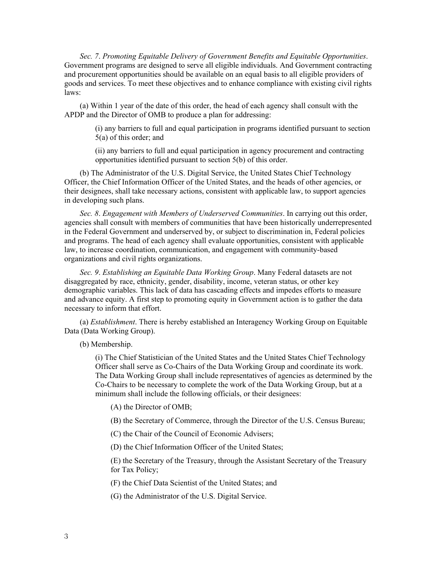*Sec. 7*. *Promoting Equitable Delivery of Government Benefits and Equitable Opportunities*. Government programs are designed to serve all eligible individuals. And Government contracting and procurement opportunities should be available on an equal basis to all eligible providers of goods and services. To meet these objectives and to enhance compliance with existing civil rights laws:

(a) Within 1 year of the date of this order, the head of each agency shall consult with the APDP and the Director of OMB to produce a plan for addressing:

> (i) any barriers to full and equal participation in programs identified pursuant to section 5(a) of this order; and

(ii) any barriers to full and equal participation in agency procurement and contracting opportunities identified pursuant to section 5(b) of this order.

(b) The Administrator of the U.S. Digital Service, the United States Chief Technology Officer, the Chief Information Officer of the United States, and the heads of other agencies, or their designees, shall take necessary actions, consistent with applicable law, to support agencies in developing such plans.

*Sec. 8*. *Engagement with Members of Underserved Communities*. In carrying out this order, agencies shall consult with members of communities that have been historically underrepresented in the Federal Government and underserved by, or subject to discrimination in, Federal policies and programs. The head of each agency shall evaluate opportunities, consistent with applicable law, to increase coordination, communication, and engagement with community-based organizations and civil rights organizations.

*Sec. 9*. *Establishing an Equitable Data Working Group*. Many Federal datasets are not disaggregated by race, ethnicity, gender, disability, income, veteran status, or other key demographic variables. This lack of data has cascading effects and impedes efforts to measure and advance equity. A first step to promoting equity in Government action is to gather the data necessary to inform that effort.

(a) *Establishment*. There is hereby established an Interagency Working Group on Equitable Data (Data Working Group).

(b) Membership.

(i) The Chief Statistician of the United States and the United States Chief Technology Officer shall serve as Co-Chairs of the Data Working Group and coordinate its work. The Data Working Group shall include representatives of agencies as determined by the Co-Chairs to be necessary to complete the work of the Data Working Group, but at a minimum shall include the following officials, or their designees:

(A) the Director of OMB;

(B) the Secretary of Commerce, through the Director of the U.S. Census Bureau;

(C) the Chair of the Council of Economic Advisers;

(D) the Chief Information Officer of the United States;

(E) the Secretary of the Treasury, through the Assistant Secretary of the Treasury for Tax Policy;

(F) the Chief Data Scientist of the United States; and

(G) the Administrator of the U.S. Digital Service.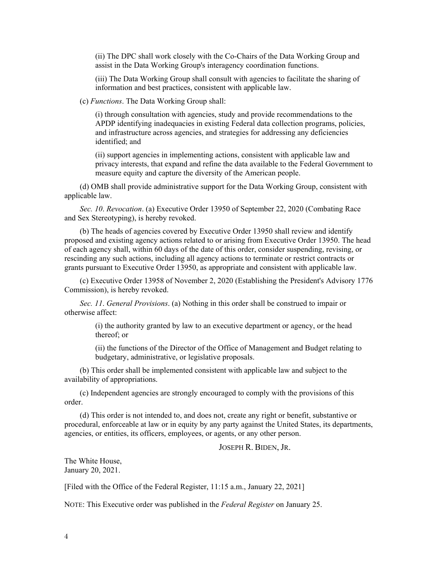(ii) The DPC shall work closely with the Co-Chairs of the Data Working Group and assist in the Data Working Group's interagency coordination functions.

(iii) The Data Working Group shall consult with agencies to facilitate the sharing of information and best practices, consistent with applicable law.

(c) *Functions*. The Data Working Group shall:

(i) through consultation with agencies, study and provide recommendations to the APDP identifying inadequacies in existing Federal data collection programs, policies, and infrastructure across agencies, and strategies for addressing any deficiencies identified; and

(ii) support agencies in implementing actions, consistent with applicable law and privacy interests, that expand and refine the data available to the Federal Government to measure equity and capture the diversity of the American people.

(d) OMB shall provide administrative support for the Data Working Group, consistent with applicable law.

*Sec. 10*. *Revocation*. (a) Executive Order 13950 of September 22, 2020 (Combating Race and Sex Stereotyping), is hereby revoked.

(b) The heads of agencies covered by Executive Order 13950 shall review and identify proposed and existing agency actions related to or arising from Executive Order 13950. The head of each agency shall, within 60 days of the date of this order, consider suspending, revising, or rescinding any such actions, including all agency actions to terminate or restrict contracts or grants pursuant to Executive Order 13950, as appropriate and consistent with applicable law.

(c) Executive Order 13958 of November 2, 2020 (Establishing the President's Advisory 1776 Commission), is hereby revoked.

*Sec. 11*. *General Provisions*. (a) Nothing in this order shall be construed to impair or otherwise affect:

> (i) the authority granted by law to an executive department or agency, or the head thereof; or

(ii) the functions of the Director of the Office of Management and Budget relating to budgetary, administrative, or legislative proposals.

(b) This order shall be implemented consistent with applicable law and subject to the availability of appropriations.

(c) Independent agencies are strongly encouraged to comply with the provisions of this order.

(d) This order is not intended to, and does not, create any right or benefit, substantive or procedural, enforceable at law or in equity by any party against the United States, its departments, agencies, or entities, its officers, employees, or agents, or any other person.

JOSEPH R. BIDEN, JR.

The White House, January 20, 2021.

[Filed with the Office of the Federal Register, 11:15 a.m., January 22, 2021]

NOTE: This Executive order was published in the *Federal Register* on January 25.